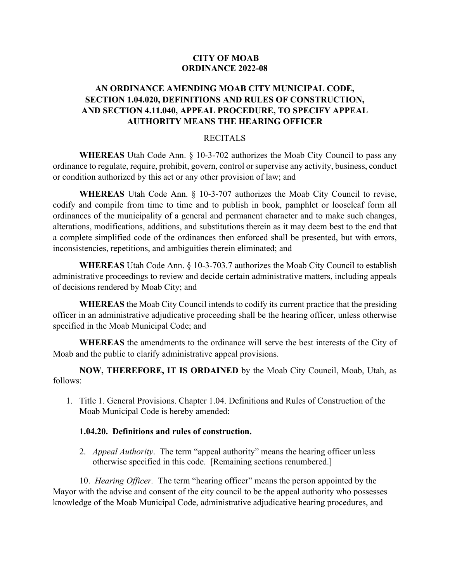### **CITY OF MOAB ORDINANCE 2022-08**

## **AN ORDINANCE AMENDING MOAB CITY MUNICIPAL CODE, SECTION 1.04.020, DEFINITIONS AND RULES OF CONSTRUCTION, AND SECTION 4.11.040, APPEAL PROCEDURE, TO SPECIFY APPEAL AUTHORITY MEANS THE HEARING OFFICER**

#### RECITALS

**WHEREAS** Utah Code Ann. § 10-3-702 authorizes the Moab City Council to pass any ordinance to regulate, require, prohibit, govern, control or supervise any activity, business, conduct or condition authorized by this act or any other provision of law; and

**WHEREAS** Utah Code Ann. § 10-3-707 authorizes the Moab City Council to revise, codify and compile from time to time and to publish in book, pamphlet or looseleaf form all ordinances of the municipality of a general and permanent character and to make such changes, alterations, modifications, additions, and substitutions therein as it may deem best to the end that a complete simplified code of the ordinances then enforced shall be presented, but with errors, inconsistencies, repetitions, and ambiguities therein eliminated; and

**WHEREAS** Utah Code Ann. § 10-3-703.7 authorizes the Moab City Council to establish administrative proceedings to review and decide certain administrative matters, including appeals of decisions rendered by Moab City; and

**WHEREAS** the Moab City Council intends to codify its current practice that the presiding officer in an administrative adjudicative proceeding shall be the hearing officer, unless otherwise specified in the Moab Municipal Code; and

**WHEREAS** the amendments to the ordinance will serve the best interests of the City of Moab and the public to clarify administrative appeal provisions.

**NOW, THEREFORE, IT IS ORDAINED** by the Moab City Council, Moab, Utah, as follows:

1. Title 1. General Provisions. Chapter 1.04. Definitions and Rules of Construction of the Moab Municipal Code is hereby amended:

#### **1.04.20. Definitions and rules of construction.**

2. *Appeal Authority*. The term "appeal authority" means the hearing officer unless otherwise specified in this code. [Remaining sections renumbered.]

10. *Hearing Officer.* The term "hearing officer" means the person appointed by the Mayor with the advise and consent of the city council to be the appeal authority who possesses knowledge of the Moab Municipal Code, administrative adjudicative hearing procedures, and